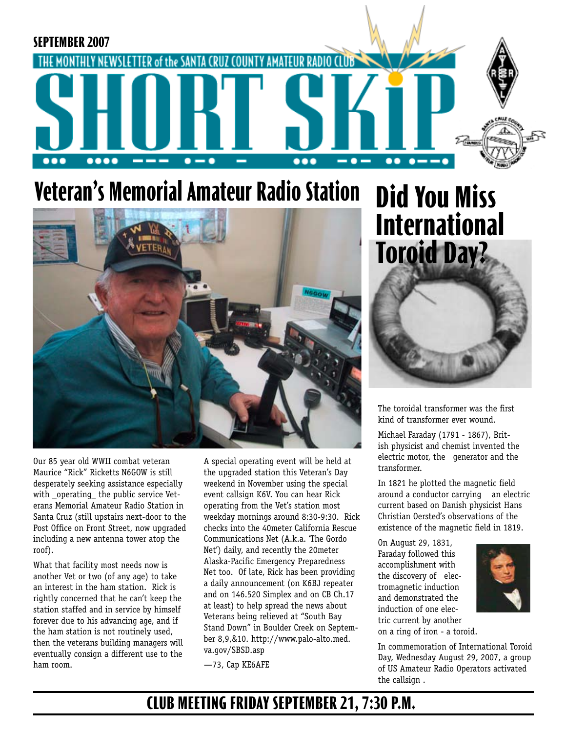

# **Veteran's Memorial Amateur Radio Station**



Our 85 year old WWII combat veteran Maurice "Rick" Ricketts N6GOW is still desperately seeking assistance especially with operating the public service Veterans Memorial Amateur Radio Station in Santa Cruz (still upstairs next-door to the Post Office on Front Street, now upgraded including a new antenna tower atop the roof).

What that facility most needs now is another Vet or two (of any age) to take an interest in the ham station. Rick is rightly concerned that he can't keep the station staffed and in service by himself forever due to his advancing age, and if the ham station is not routinely used, then the veterans building managers will eventually consign a different use to the ham room.

A special operating event will be held at the upgraded station this Veteran's Day weekend in November using the special event callsign K6V. You can hear Rick operating from the Vet's station most weekday mornings around 8:30-9:30. Rick checks into the 40meter California Rescue Communications Net (A.k.a. 'The Gordo Net') daily, and recently the 20meter Alaska-Pacific Emergency Preparedness Net too. Of late, Rick has been providing a daily announcement (on K6BJ repeater and on 146.520 Simplex and on CB Ch.17 at least) to help spread the news about Veterans being relieved at "South Bay Stand Down" in Boulder Creek on September 8,9,&10. http://www.palo-alto.med. va.gov/SBSD.asp

—73, Cap KE6AFE

# **Did You Miss International Toroid Day?**



The toroidal transformer was the first kind of transformer ever wound.

Michael Faraday (1791 - 1867), British physicist and chemist invented the electric motor, the generator and the transformer.

In 1821 he plotted the magnetic field around a conductor carrying an electric current based on Danish physicist Hans Christian Oersted's observations of the existence of the magnetic field in 1819.

On August 29, 1831, Faraday followed this accomplishment with the discovery of electromagnetic induction and demonstrated the induction of one electric current by another on a ring of iron - a toroid.



In commemoration of International Toroid Day, Wednesday August 29, 2007, a group of US Amateur Radio Operators activated the callsign .

## **CLUB MEETING FRIDAY SEPTEMBER 21, 7:30 P.M.**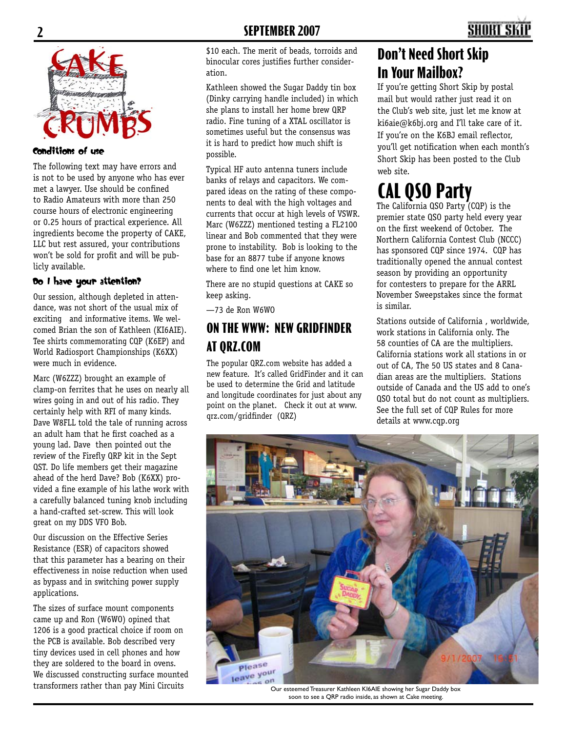

#### Conditions of use

The following text may have errors and is not to be used by anyone who has ever met a lawyer. Use should be confined to Radio Amateurs with more than 250 course hours of electronic engineering or 0.25 hours of practical experience. All ingredients become the property of CAKE, LLC but rest assured, your contributions won't be sold for profit and will be publicly available.

#### Do I have your attention?

Our session, although depleted in attendance, was not short of the usual mix of exciting and informative items. We welcomed Brian the son of Kathleen (KI6AIE). Tee shirts commemorating CQP (K6EP) and World Radiosport Championships (K6XX) were much in evidence.

Marc (W6ZZZ) brought an example of clamp-on ferrites that he uses on nearly all wires going in and out of his radio. They certainly help with RFI of many kinds. Dave W8FLL told the tale of running across an adult ham that he first coached as a young lad. Dave then pointed out the review of the Firefly QRP kit in the Sept QST. Do life members get their magazine ahead of the herd Dave? Bob (K6XX) provided a fine example of his lathe work with a carefully balanced tuning knob including a hand-crafted set-screw. This will look great on my DDS VFO Bob.

Our discussion on the Effective Series Resistance (ESR) of capacitors showed that this parameter has a bearing on their effectiveness in noise reduction when used as bypass and in switching power supply applications.

The sizes of surface mount components came up and Ron (W6WO) opined that 1206 is a good practical choice if room on the PCB is available. Bob described very tiny devices used in cell phones and how they are soldered to the board in ovens. We discussed constructing surface mounted transformers rather than pay Mini Circuits

\$10 each. The merit of beads, torroids and binocular cores justifies further consideration.

Kathleen showed the Sugar Daddy tin box (Dinky carrying handle included) in which she plans to install her home brew QRP radio. Fine tuning of a XTAL oscillator is sometimes useful but the consensus was it is hard to predict how much shift is possible.

Typical HF auto antenna tuners include banks of relays and capacitors. We compared ideas on the rating of these components to deal with the high voltages and currents that occur at high levels of VSWR. Marc (W6ZZZ) mentioned testing a FL2100 linear and Bob commented that they were prone to instability. Bob is looking to the base for an 8877 tube if anyone knows where to find one let him know.

There are no stupid questions at CAKE so keep asking.

—73 de Ron W6WO

#### **ON THE WWW: NEW GRIDFINDER AT QRZ.COM**

The popular QRZ.com website has added a new feature. It's called GridFinder and it can be used to determine the Grid and latitude and longitude coordinates for just about any point on the planet. Check it out at www. qrz.com/gridfinder (QRZ)

### **Don't Need Short Skip In Your Mailbox?**

If you're getting Short Skip by postal mail but would rather just read it on the Club's web site, just let me know at ki6aie@k6bj.org and I'll take care of it. If you're on the K6BJ email reflector, you'll get notification when each month's Short Skip has been posted to the Club web site.

## **CAL QSO Party**

The California QSO Party (CQP) is the premier state QSO party held every year on the first weekend of October. The Northern California Contest Club (NCCC) has sponsored CQP since 1974. CQP has traditionally opened the annual contest season by providing an opportunity for contesters to prepare for the ARRL November Sweepstakes since the format is similar.

Stations outside of California , worldwide, work stations in California only. The 58 counties of CA are the multipliers. California stations work all stations in or out of CA, The 50 US states and 8 Canadian areas are the multipliers. Stations outside of Canada and the US add to one's QSO total but do not count as multipliers. See the full set of CQP Rules for more details at www.cqp.org



Our esteemed Treasurer Kathleen KI6AIE showing her Sugar Daddy box soon to see a QRP radio inside, as shown at Cake meeting.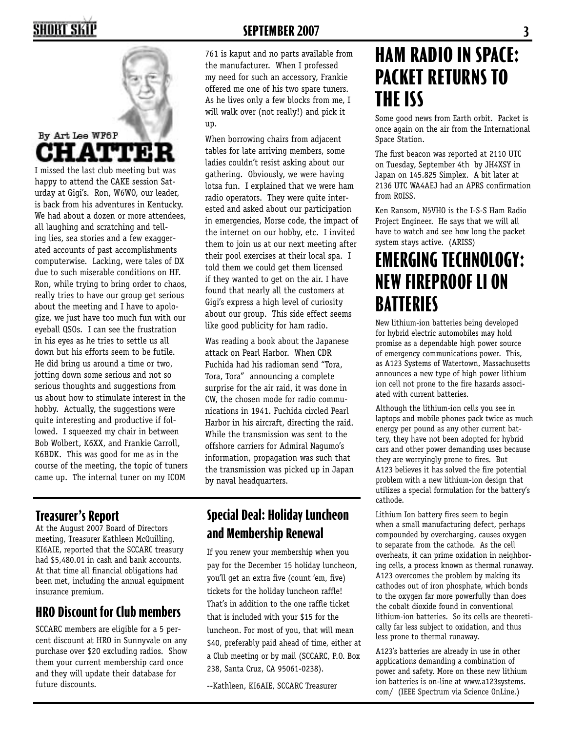## SHORT SKII



I missed the last club meeting but was happy to attend the CAKE session Saturday at Gigi's. Ron, W6WO, our leader, is back from his adventures in Kentucky. We had about a dozen or more attendees, all laughing and scratching and telling lies, sea stories and a few exaggerated accounts of past accomplishments computerwise. Lacking, were tales of DX due to such miserable conditions on HF. Ron, while trying to bring order to chaos, really tries to have our group get serious about the meeting and I have to apologize, we just have too much fun with our eyeball QSOs. I can see the frustration in his eyes as he tries to settle us all down but his efforts seem to be futile. He did bring us around a time or two, jotting down some serious and not so serious thoughts and suggestions from us about how to stimulate interest in the hobby. Actually, the suggestions were quite interesting and productive if followed. I squeezed my chair in between Bob Wolbert, K6XX, and Frankie Carroll, K6BDK. This was good for me as in the course of the meeting, the topic of tuners came up. The internal tuner on my ICOM

#### **SEPTEMBER 2007 3**

761 is kaput and no parts available from the manufacturer. When I professed my need for such an accessory, Frankie offered me one of his two spare tuners. As he lives only a few blocks from me, I will walk over (not really!) and pick it up.

When borrowing chairs from adjacent tables for late arriving members, some ladies couldn't resist asking about our gathering. Obviously, we were having lotsa fun. I explained that we were ham radio operators. They were quite interested and asked about our participation in emergencies, Morse code, the impact of the internet on our hobby, etc. I invited them to join us at our next meeting after their pool exercises at their local spa. I told them we could get them licensed if they wanted to get on the air. I have found that nearly all the customers at Gigi's express a high level of curiosity about our group. This side effect seems like good publicity for ham radio.

Was reading a book about the Japanese attack on Pearl Harbor. When CDR Fuchida had his radioman send "Tora, Tora, Tora" announcing a complete surprise for the air raid, it was done in CW, the chosen mode for radio communications in 1941. Fuchida circled Pearl Harbor in his aircraft, directing the raid. While the transmission was sent to the offshore carriers for Admiral Nagumo's information, propagation was such that the transmission was picked up in Japan by naval headquarters.

#### **Treasurer's Report**

At the August 2007 Board of Directors meeting, Treasurer Kathleen McQuilling, KI6AIE, reported that the SCCARC treasury had \$5,480.01 in cash and bank accounts. At that time all financial obligations had been met, including the annual equipment insurance premium.

#### **HRO Discount for Club members**

SCCARC members are eligible for a 5 percent discount at HRO in Sunnyvale on any purchase over \$20 excluding radios. Show them your current membership card once and they will update their database for future discounts.

#### **Special Deal: Holiday Luncheon and Membership Renewal**

If you renew your membership when you pay for the December 15 holiday luncheon, you'll get an extra five (count 'em, five) tickets for the holiday luncheon raffle! That's in addition to the one raffle ticket that is included with your \$15 for the luncheon. For most of you, that will mean \$40, preferably paid ahead of time, either at a Club meeting or by mail (SCCARC, P.O. Box 238, Santa Cruz, CA 95061-0238).

--Kathleen, KI6AIE, SCCARC Treasurer

## **HAM RADIO IN SPACE: PACKET RETURNS TO THE ISS**

Some good news from Earth orbit. Packet is once again on the air from the International Space Station.

The first beacon was reported at 2110 UTC on Tuesday, September 4th by JH4XSY in Japan on 145.825 Simplex. A bit later at 2136 UTC WA4AEJ had an APRS confirmation from R0ISS.

Ken Ransom, N5VHO is the I-S-S Ham Radio Project Engineer. He says that we will all have to watch and see how long the packet system stays active. (ARISS)

## **EMERGING TECHNOLOGY: NEW FIREPROOF LI ON BATTERIES**

New lithium-ion batteries being developed for hybrid electric automobiles may hold promise as a dependable high power source of emergency communications power. This, as A123 Systems of Watertown, Massachusetts announces a new type of high power lithium ion cell not prone to the fire hazards associated with current batteries.

Although the lithium-ion cells you see in laptops and mobile phones pack twice as much energy per pound as any other current battery, they have not been adopted for hybrid cars and other power demanding uses because they are worryingly prone to fires. But A123 believes it has solved the fire potential problem with a new lithium-ion design that utilizes a special formulation for the battery's cathode.

Lithium Ion battery fires seem to begin when a small manufacturing defect, perhaps compounded by overcharging, causes oxygen to separate from the cathode. As the cell overheats, it can prime oxidation in neighboring cells, a process known as thermal runaway. A123 overcomes the problem by making its cathodes out of iron phosphate, which bonds to the oxygen far more powerfully than does the cobalt dioxide found in conventional lithium-ion batteries. So its cells are theoretically far less subject to oxidation, and thus less prone to thermal runaway.

A123's batteries are already in use in other applications demanding a combination of power and safety. More on these new lithium ion batteries is on-line at www.a123systems. com/ (IEEE Spectrum via Science OnLine.)